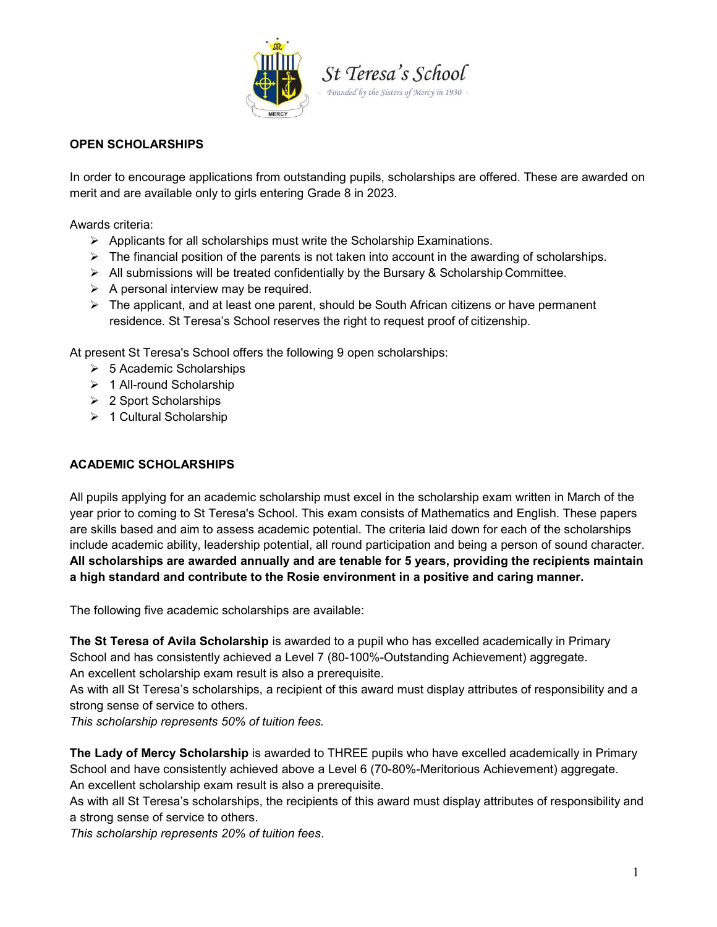

### OPEN SCHOLARSHIPS

In order to encourage applications from outstanding pupils, scholarships are offered. These are awarded on merit and are available only to girls entering Grade 8 in 2023.

Awards criteria:

- $\triangleright$  Applicants for all scholarships must write the Scholarship Examinations.
- $\triangleright$  The financial position of the parents is not taken into account in the awarding of scholarships.
- $\triangleright$  All submissions will be treated confidentially by the Bursary & Scholarship Committee.
- $\triangleright$  A personal interview may be required.
- $\triangleright$  The applicant, and at least one parent, should be South African citizens or have permanent residence. St Teresa's School reserves the right to request proof of citizenship.

At present St Teresa's School offers the following 9 open scholarships:

- $\geqslant$  5 Academic Scholarships
- > 1 All-round Scholarship
- $\geq 2$  Sport Scholarships
- $\geq 1$  Cultural Scholarship

### ACADEMIC SCHOLARSHIPS

All pupils applying for an academic scholarship must excel in the scholarship exam written in March of the year prior to coming to St Teresa's School. This exam consists of Mathematics and English. These papers are skills based and aim to assess academic potential. The criteria laid down for each of the scholarships include academic ability, leadership potential, all round participation and being a person of sound character. All scholarships are awarded annually and are tenable for 5 years, providing the recipients maintain a high standard and contribute to the Rosie environment in a positive and caring manner.

The following five academic scholarships are available:

The St Teresa of Avila Scholarship is awarded to a pupil who has excelled academically in Primary School and has consistently achieved a Level 7 (80-100%-Outstanding Achievement) aggregate. An excellent scholarship exam result is also a prerequisite.

As with all St Teresa's scholarships, a recipient of this award must display attributes of responsibility and a strong sense of service to others.

This scholarship represents 50% of tuition fees.

The Lady of Mercy Scholarship is awarded to THREE pupils who have excelled academically in Primary School and have consistently achieved above a Level 6 (70-80%-Meritorious Achievement) aggregate. An excellent scholarship exam result is also a prerequisite.

As with all St Teresa's scholarships, the recipients of this award must display attributes of responsibility and a strong sense of service to others.

This scholarship represents 20% of tuition fees.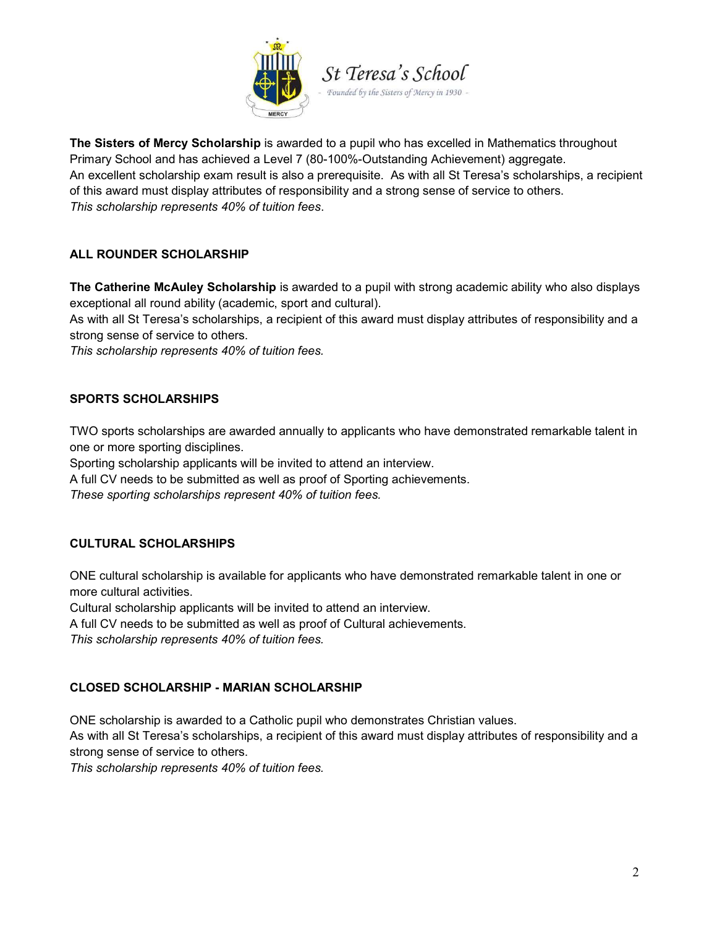

The Sisters of Mercy Scholarship is awarded to a pupil who has excelled in Mathematics throughout Primary School and has achieved a Level 7 (80-100%-Outstanding Achievement) aggregate. An excellent scholarship exam result is also a prerequisite. As with all St Teresa's scholarships, a recipient of this award must display attributes of responsibility and a strong sense of service to others. This scholarship represents 40% of tuition fees.

# ALL ROUNDER SCHOLARSHIP

The Catherine McAuley Scholarship is awarded to a pupil with strong academic ability who also displays exceptional all round ability (academic, sport and cultural).

As with all St Teresa's scholarships, a recipient of this award must display attributes of responsibility and a strong sense of service to others.

This scholarship represents 40% of tuition fees.

## SPORTS SCHOLARSHIPS

TWO sports scholarships are awarded annually to applicants who have demonstrated remarkable talent in one or more sporting disciplines.

Sporting scholarship applicants will be invited to attend an interview.

A full CV needs to be submitted as well as proof of Sporting achievements.

These sporting scholarships represent 40% of tuition fees.

# CULTURAL SCHOLARSHIPS

ONE cultural scholarship is available for applicants who have demonstrated remarkable talent in one or more cultural activities.

Cultural scholarship applicants will be invited to attend an interview.

A full CV needs to be submitted as well as proof of Cultural achievements.

This scholarship represents 40% of tuition fees.

## CLOSED SCHOLARSHIP - MARIAN SCHOLARSHIP

ONE scholarship is awarded to a Catholic pupil who demonstrates Christian values.

As with all St Teresa's scholarships, a recipient of this award must display attributes of responsibility and a strong sense of service to others.

This scholarship represents 40% of tuition fees.